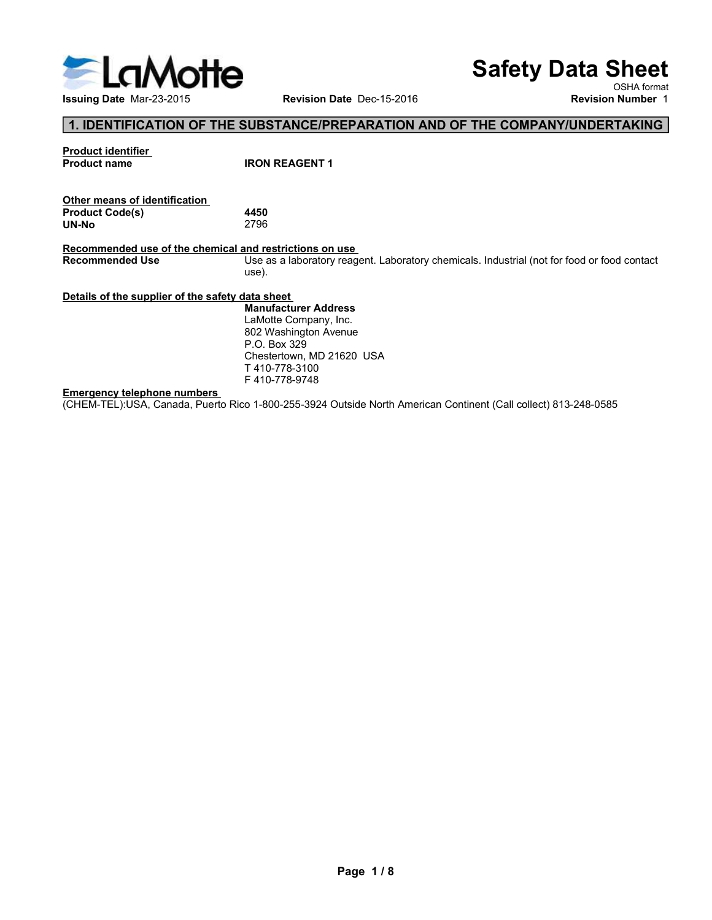

# Safety Data Sheet

OSHA format<br>**Revision Number** 1

# 1. IDENTIFICATION OF THE SUBSTANCE/PREPARATION AND OF THE COMPANY/UNDERTAKING

|                     | <b>Product identifier</b> |
|---------------------|---------------------------|
| <b>Product name</b> |                           |

| 4450 |  |
|------|--|
| 2796 |  |
|      |  |

Safe<br>
Issuing Date Mar-23-2015<br> **1. IDENTIFICATION OF THE SUBSTANCE/PREPARATION AND OF THE CONSUMIT Product identifier<br>
Product dentification<br>
Product Code(s)<br>
Nexternal and restrictions on use<br>
Recommended use of the chem** Safety Data Si<br>
Issuing Date Mar-23-2015<br>
Inter means of identified in The SUBSTANCE/PREPARATION AND OF THE COMPANY/UNDERT/<br>
Product identifier<br>
Product Code(s)<br>
UN-No<br>
Recommended use of the chemical and restrictions on u Safety Data Sheet<br>
Issuing Date Mar-23-2015<br>
Revision Date Dec-15-2016<br>
Revision Number<br>
Recommended use of the chemical and restrictions on use<br>
Recommended use of the chemical and restrictions on use<br>
Recommended Use as Safety Data Sheet<br>
Revision Date Dec-15-2016<br>
Revision Number 1<br>
1. IDENTIFICATION OF THE SUBSTANCE/PREPARATION AND OF THE COMPANY/UNDERTAKING<br>
Product code(s)<br>
Product code(s)<br>
Product code(s)<br>
Product Code(s)<br>
Product Co use). Safety Data She<br>
Issuing Date Mar-23-2015<br>
1. IDENTIFICATION OF THE SUBSTANCE/PREPARATION AND OF THE COMPANY/UNDERTAKI<br>
Product Code(s)<br>
Product Code(s)<br>
Uner means of identification.<br>
Other means of the chemical and ostat Issuing Date Mar-23-2015<br> **Emergency telephone numbers**<br> **Example 1. IDENTIFICATION OF THE SUBSTANCE/PREPARATION AND OF THE COMPAN<br>
Product Code(s)<br>
Product Code(s)<br>
4450<br>
Commended use of the chemical and restrictions on** (CHEM-TEL):USA, Canada, Puerto Rico 1-800-255-3924 Outside North American Continent (Call collect) 813-248-0585<br>
Emergency telephone numbers<br>
Emergency telephone numbers<br>
Emergency telephone numbers<br>
Recommended Use<br>
(CHEM **Safety Data Sheet**<br>
Revision Date Dec-15-2016<br>
NUBSTANCE/PREPARATION AND OF THE COMPANY/UNDERTAKING<br>
IRON REAGENT 1<br>
4450<br>
Manufacturer Address<br>
Use as a laboratory reagent. Laboratory chemicals. Industrial (not for food **Safety Data Sheet**<br>
Revision Date Dec-15-2016<br>
New Sch Aformat<br>
SUBSTANCE/PREPARATION AND OF THE COMPANY/UNDERTAKING<br>
IRON REAGENT 1<br>
A450<br>
AFASO<br>
AROW REAGENT 1<br>
SUBS as a laboratory reagent. Laboratory chemicals. Indust **Safety Data Sheet**<br>
Revision Date Dec-15-2016<br>
ISON COSTA CONTAINSTANCE/PREPARATION AND OF THE COMPANY/UNDERTAKING<br>
IRON REAGENT 1<br>
4450<br>
IN THE SAFE COMPANY/UNDERTAKING<br>
2796<br>
Ind restrictions on use<br>
Use as a laboratory **Safety Data Sheet**<br>
Revision Date Dec-15-2016<br>
NEW OSHA format<br> **SUBSTANCE/PREPARATION AND OF THE COMPANY/UNDERTAKING**<br>
IRON REAGENT 1<br>
A450<br>
USE as a laboratory reagent. Laboratory chemicals. Industrial (not for food or

P.O. Box 329 T 410-778-3100 F 410-778-9748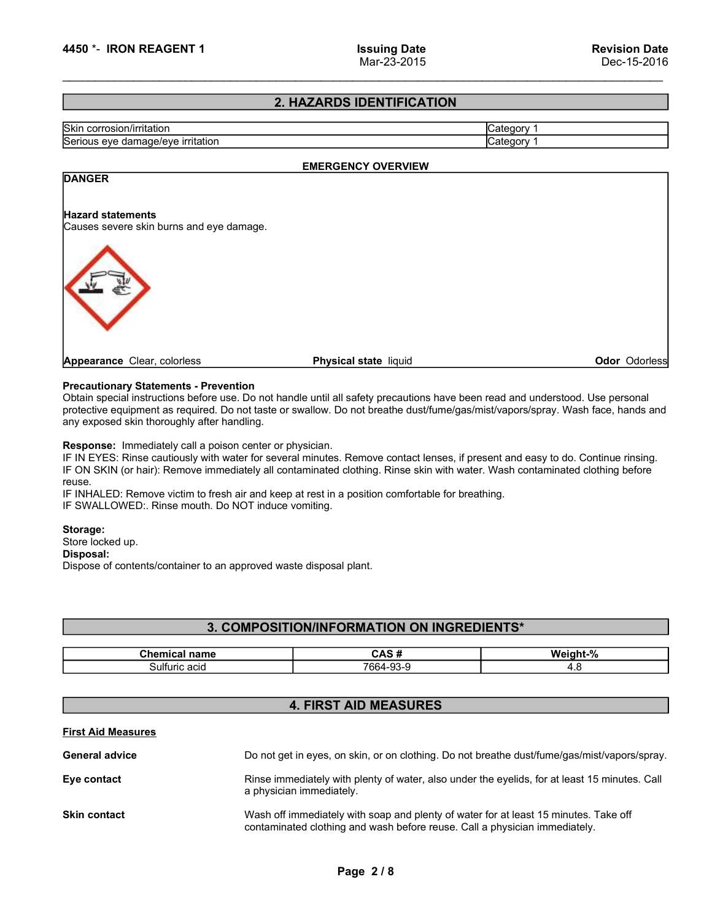# 2. HAZARDS IDENTIFICATION

# EXAMPLE 1 EXAMPLE 1 EXAMPLE 1 EXAMPLE 1 ACT 23-2015<br>
Skin corrosion/irritation<br>
Skin corrosion/irritation<br>
Category 1<br>
Category 1<br>
Category 1<br>
Category 1<br>
Category 1<br>
Category 1<br>
Category 1<br>
Category 1<br>
Category 1<br>
Categor Examples of the Hayard statements<br>
Serious eye damage/eye irritation<br>
EMERGENCY OVERVIEW<br>
DRISCER<br>
Serious eye damage/eye irritation<br>
Category 1<br>
Category 1<br>
Category 1<br>
DANGER<br>
EMERGENCY OVERVIEW<br>
Category 1<br>
Hayard state EMERGENCY OVERVIEW **2. HAZARDS IDENTIFICATION**<br>
Serious eye damage/eye irritation<br>
Serious eye damage/eye irritation<br> **DANGER**<br>
Hazard statements<br>
Causes severe skin burns and eye damage.<br>
<br> **Precautionary Statements - Prevention**<br> **Precauti Calegory 1**<br>
Significant special instruction<br>
Serious eye damage/eye irritation<br>
Serious eye damage/eye irritation<br> **PARCERY OVERVIEW**<br> **PARCERY OVERVIEW**<br>
Causes vertex shin burns and eye damage.<br>
Precautions have been r protective equipment as required.<br>
Signic control of Category 1<br>
Serious eye diamage/eye irritation<br>
PARAGER<br>
Parard state members<br>
Causes severe skin burns and eye damage.<br>
Physical state liquid<br>
Causes severe skin burns Skin corrosion/irritation<br>
Serious eye damage/eye irritation<br> **EMERGENCY OVERVIEW**<br>
Category 1<br> **DANGER**<br>
Hazard statements<br>
Causes severe skin burns and eye damage.<br>
Causes severe skin burns and eye damage.<br>
<br> **Physical s** EMERGENCY OVERVIEW<br>
FANGER<br>
Hazard statements<br>
Causes severe skin burns and eye damage.<br>
Precent ions are desired on the control of the control of the control of the control of the control of the control of the control of EMERGENCY OVERVIEW<br>
Hazard statements<br>
Faceuse severe skin burns and eye damage.<br> **Precautionary Statements - Prevention**<br> **Precautionary Statements - Prevention**<br> **Predautionary Statements - Prevention**<br>
Dotath special mi EMIZE CHARGER CONDITION CONTROL CONTROL CONTROL CONTROL CONTROL CONTROL CONTROL CONTROL CONTROL CONTROL CONTROL CONTROL CONTROL CONTROL CONTROL CONTROL CONTROL CONTROL CONTROL CONTROL CONTROL CONTROL CONTROL CONTROL CONTRO **IF INTERNATE CONDUCT CONDUCTS AIR CONDUCTS AIR CONDUCTS AIR CONDUCTS AND CONDUCTS ARE CONDUCTS AND CONDUCTS AIR CONDUCTS (CONDUCTS) CONDUCTS AIR AND CONDUCTS (CONDUCTS) CONDUCTS AIR AND CONDUCTS (CONDUCTS) CONDUCTS AND CO Examplements**<br> **Examplement Center Schemes and eye damage.**<br> **Physical state** liquid<br> **Dependence Clear, coloriess**<br> **Physical state** liquid<br> **Dependence Schemes and Consumer Schemes and Dependence of Dependence of Depend Examples and States and States and States and States and States in the Scheme Chern Color<br>
States are clear, colorless<br>
Obtain special instructions before use. Do not handle until all safety precautions have been reach<br>
p Examples and Contents of Contents of Contents of Contents of Contents and Columb Columb Content and Contents and Contents and Contents and Contents and Contents and Contents and Contents and Contents and Contents and Cont DANGER** 4450 \*- IRON REAGENT 1<br>
1990 Mar-23-2015<br>
2. HAZARDS IDENTIFICATION<br>
Strious eye damage/eye irritation<br>
EMERGENCY OVERVIEW<br>
Hazard statements<br>
Causes severe skin burns and eye damage. **EXECUTE AND REAGENT 1**<br>
Serious eye damage/eye irritation<br> **EXECUTE AND SUBDENTIFICATION**<br>
Serious eye damage/eye irritation<br>
Category 1<br> **EXECUTE AND SUBDENTIFICATION**<br>
Category 1<br> **EXECUTE AND SUBDENTIFICATION**<br>
Categor Mar-23-2015 Dec-15-2016<br>
2. HAZARDS IDENTIFICATION<br>
Serious eye damage/eye irritation<br>
APPONENCE EMERGENCY OVERVIEW<br>
APPONENCE EMERGENCY OVERVIEW<br>
APPONENT Category 1<br>
Category 1<br>
APPONENT CALL COMENTIFICATION<br>
Category 1<br> **Odor Odorless**

**Example 11 Proven Control Chemical State Instant Chemical State Instant Chemical State Instant Chemical State Chemical Network Chemical Chemical Chemical Chemical Chemical Chemical Chemical Chemical Chemical Chemical Chem** riventions<br>
in values<br>
strengths - Prevention<br>
rudions before use. Do not handle until all safety precautions have been read and understood. Use personal<br>
rudions before use. Do not bracked or swallow. Do not breathe dust/

# Disposal:

# 3. COMPOSITION/INFORMATION ON INGREDIENTS\*

| $  -$<br>name | -<br>n                                               | $\ddot{\phantom{1}}$<br>VV. |
|---------------|------------------------------------------------------|-----------------------------|
| ruric acid    | $\overline{\phantom{a}}$<br>$\sim$<br>ЮU.<br>$\cdot$ | т. с                        |

# 4. FIRST AID MEASURES

| reuse.                                    | Response: Immediately call a poison center or physician.<br>IF IN EYES: Rinse cautiously with water for several minutes. Remove contact lenses, if present and easy to do. Continue rinsing.<br>IF ON SKIN (or hair): Remove immediately all contaminated clothing. Rinse skin with water. Wash contaminated clothing before<br>IF INHALED: Remove victim to fresh air and keep at rest in a position comfortable for breathing.<br>IF SWALLOWED:. Rinse mouth. Do NOT induce vomiting. |          |
|-------------------------------------------|-----------------------------------------------------------------------------------------------------------------------------------------------------------------------------------------------------------------------------------------------------------------------------------------------------------------------------------------------------------------------------------------------------------------------------------------------------------------------------------------|----------|
| Storage:<br>Store locked up.<br>Disposal: | Dispose of contents/container to an approved waste disposal plant.                                                                                                                                                                                                                                                                                                                                                                                                                      |          |
|                                           | 3. COMPOSITION/INFORMATION ON INGREDIENTS*                                                                                                                                                                                                                                                                                                                                                                                                                                              |          |
| <b>Chemical name</b>                      | CAS#                                                                                                                                                                                                                                                                                                                                                                                                                                                                                    | Weight-% |
| Sulfuric acid                             | 7664-93-9                                                                                                                                                                                                                                                                                                                                                                                                                                                                               | 4.8      |
|                                           | <b>4. FIRST AID MEASURES</b>                                                                                                                                                                                                                                                                                                                                                                                                                                                            |          |
| <b>First Aid Measures</b>                 |                                                                                                                                                                                                                                                                                                                                                                                                                                                                                         |          |
| <b>General advice</b>                     | Do not get in eyes, on skin, or on clothing. Do not breathe dust/fume/gas/mist/vapors/spray.                                                                                                                                                                                                                                                                                                                                                                                            |          |
| Eye contact                               | Rinse immediately with plenty of water, also under the eyelids, for at least 15 minutes. Call<br>a physician immediately.                                                                                                                                                                                                                                                                                                                                                               |          |
| <b>Skin contact</b>                       | Wash off immediately with soap and plenty of water for at least 15 minutes. Take off<br>contaminated clothing and wash before reuse. Call a physician immediately.                                                                                                                                                                                                                                                                                                                      |          |
|                                           | Page 2/8                                                                                                                                                                                                                                                                                                                                                                                                                                                                                |          |
|                                           |                                                                                                                                                                                                                                                                                                                                                                                                                                                                                         |          |
|                                           |                                                                                                                                                                                                                                                                                                                                                                                                                                                                                         |          |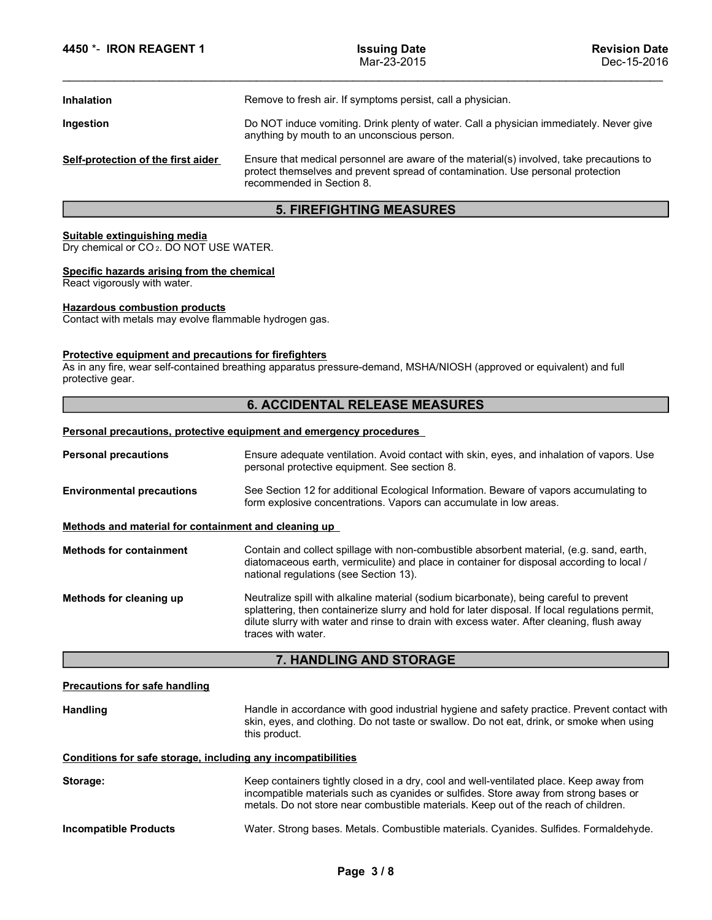| 4450 *- IRON REAGENT 1                                                                         | <b>Issuing Date</b><br>Mar-23-2015                                                                                                                                                                       | <b>Revision Date</b><br>Dec-15-2016 |
|------------------------------------------------------------------------------------------------|----------------------------------------------------------------------------------------------------------------------------------------------------------------------------------------------------------|-------------------------------------|
| <b>Inhalation</b>                                                                              | Remove to fresh air. If symptoms persist, call a physician.                                                                                                                                              |                                     |
| Ingestion                                                                                      | Do NOT induce vomiting. Drink plenty of water. Call a physician immediately. Never give<br>anything by mouth to an unconscious person.                                                                   |                                     |
| Self-protection of the first aider                                                             | Ensure that medical personnel are aware of the material(s) involved, take precautions to<br>protect themselves and prevent spread of contamination. Use personal protection<br>recommended in Section 8. |                                     |
|                                                                                                | <b>5. FIREFIGHTING MEASURES</b>                                                                                                                                                                          |                                     |
| Suitable extinguishing media<br>Dry chemical or CO <sub>2</sub> . DO NOT USE WATER.            |                                                                                                                                                                                                          |                                     |
| Specific hazards arising from the chemical<br>React vigorously with water.                     |                                                                                                                                                                                                          |                                     |
| <b>Hazardous combustion products</b><br>Contact with metals may evolve flammable hydrogen gas. |                                                                                                                                                                                                          |                                     |
| Protective equipment and precautions for firefighters<br>protective gear.                      | As in any fire, wear self-contained breathing apparatus pressure-demand, MSHA/NIOSH (approved or equivalent) and full                                                                                    |                                     |
|                                                                                                | <b>6. ACCIDENTAL RELEASE MEASURES</b>                                                                                                                                                                    |                                     |
|                                                                                                | Personal precautions, protective equipment and emergency procedures                                                                                                                                      |                                     |
| <b>Personal precautions</b>                                                                    | Ensure adequate ventilation. Avoid contact with skin, eyes, and inhalation of vapors. Use<br>personal protective equipment. See section 8.                                                               |                                     |
| <b>Environmental precautions</b>                                                               | See Section 12 for additional Ecological Information. Beware of vapors accumulating to<br>form explosive concentrations. Vapors can accumulate in low areas.                                             |                                     |

# 5. FIREFIGHTING MEASURES

# 6. ACCIDENTAL RELEASE MEASURES

| Self-protection of the first aider                                                             | Ensure that medical personnel are aware of the material(s) involved, take precautions to<br>protect themselves and prevent spread of contamination. Use personal protection<br>recommended in Section 8.                                                                                                     |
|------------------------------------------------------------------------------------------------|--------------------------------------------------------------------------------------------------------------------------------------------------------------------------------------------------------------------------------------------------------------------------------------------------------------|
|                                                                                                | <b>5. FIREFIGHTING MEASURES</b>                                                                                                                                                                                                                                                                              |
| Suitable extinguishing media<br>Dry chemical or CO <sub>2</sub> . DO NOT USE WATER.            |                                                                                                                                                                                                                                                                                                              |
| Specific hazards arising from the chemical<br>React vigorously with water.                     |                                                                                                                                                                                                                                                                                                              |
| <b>Hazardous combustion products</b><br>Contact with metals may evolve flammable hydrogen gas. |                                                                                                                                                                                                                                                                                                              |
| Protective equipment and precautions for firefighters<br>protective gear.                      | As in any fire, wear self-contained breathing apparatus pressure-demand, MSHA/NIOSH (approved or equivalent) and full                                                                                                                                                                                        |
|                                                                                                | <b>6. ACCIDENTAL RELEASE MEASURES</b>                                                                                                                                                                                                                                                                        |
|                                                                                                | Personal precautions, protective equipment and emergency procedures                                                                                                                                                                                                                                          |
| <b>Personal precautions</b>                                                                    | Ensure adequate ventilation. Avoid contact with skin, eyes, and inhalation of vapors. Use<br>personal protective equipment. See section 8.                                                                                                                                                                   |
| <b>Environmental precautions</b>                                                               | See Section 12 for additional Ecological Information. Beware of vapors accumulating to<br>form explosive concentrations. Vapors can accumulate in low areas.                                                                                                                                                 |
| Methods and material for containment and cleaning up                                           |                                                                                                                                                                                                                                                                                                              |
| <b>Methods for containment</b>                                                                 | Contain and collect spillage with non-combustible absorbent material, (e.g. sand, earth,<br>diatomaceous earth, vermiculite) and place in container for disposal according to local /<br>national regulations (see Section 13).                                                                              |
| Methods for cleaning up                                                                        | Neutralize spill with alkaline material (sodium bicarbonate), being careful to prevent<br>splattering, then containerize slurry and hold for later disposal. If local regulations permit,<br>dilute slurry with water and rinse to drain with excess water. After cleaning, flush away<br>traces with water. |
|                                                                                                | 7. HANDLING AND STORAGE                                                                                                                                                                                                                                                                                      |
| <b>Precautions for safe handling</b>                                                           |                                                                                                                                                                                                                                                                                                              |
| <b>Handling</b>                                                                                | Handle in accordance with good industrial hygiene and safety practice. Prevent contact with<br>skin, eyes, and clothing. Do not taste or swallow. Do not eat, drink, or smoke when using<br>this product.                                                                                                    |
| Conditions for safe storage, including any incompatibilities                                   |                                                                                                                                                                                                                                                                                                              |
| Storage:                                                                                       | Keep containers tightly closed in a dry, cool and well-ventilated place. Keep away from<br>incompatible materials such as cyanides or sulfides. Store away from strong bases or<br>metals. Do not store near combustible materials. Keep out of the reach of children.                                       |
| <b>Incompatible Products</b>                                                                   | Water. Strong bases. Metals. Combustible materials. Cyanides. Sulfides. Formaldehyde.                                                                                                                                                                                                                        |
|                                                                                                | Page 3/8                                                                                                                                                                                                                                                                                                     |
|                                                                                                |                                                                                                                                                                                                                                                                                                              |
|                                                                                                |                                                                                                                                                                                                                                                                                                              |

# 7. HANDLING AND STORAGE

| andling | Handle in accordance with good industrial hygiene and safety practice. Prevent contact with<br>skin, eyes, and clothing. Do not taste or swallow. Do not eat, drink, or smoke when using |
|---------|------------------------------------------------------------------------------------------------------------------------------------------------------------------------------------------|
|         | this product.                                                                                                                                                                            |

| Storage:              | Keep containers tightly closed in a dry, cool and well-ventilated place. Keep away from<br>incompatible materials such as cyanides or sulfides. Store away from strong bases or<br>metals. Do not store near combustible materials. Keep out of the reach of children. |
|-----------------------|------------------------------------------------------------------------------------------------------------------------------------------------------------------------------------------------------------------------------------------------------------------------|
| Incompatible Products | Water, Strong bases, Metals, Combustible materials, Cyanides, Sulfides, Formaldehyde.                                                                                                                                                                                  |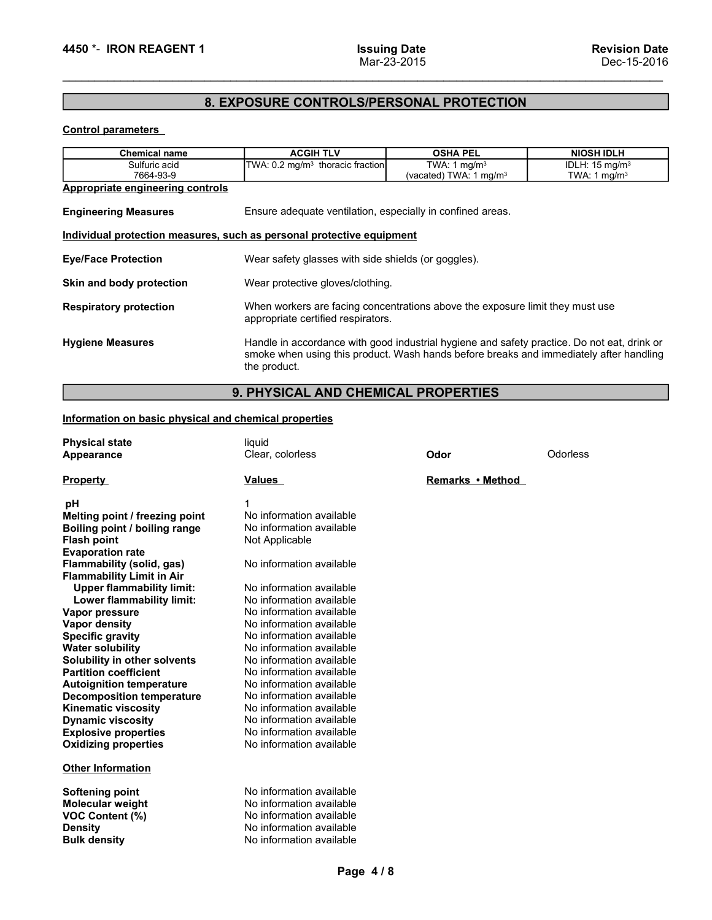# 4450 \*- IRON REAGENT 1 lssuing Date<br>Mar-23-2015 Mar-23-2015<br>8. EXPOSURE CONTROLS/PERSONAL PROTECTION 8. EXPOSURE CONTROLS/PERSONAL PROTECTION

| 4450 *- IRON REAGENT 1                                                                                                 | <b>Issuing Date</b><br>Mar-23-2015                                                                                                                                                                    |                                            | <b>Revision Date</b><br>Dec-15-2016             |
|------------------------------------------------------------------------------------------------------------------------|-------------------------------------------------------------------------------------------------------------------------------------------------------------------------------------------------------|--------------------------------------------|-------------------------------------------------|
|                                                                                                                        | 8. EXPOSURE CONTROLS/PERSONAL PROTECTION                                                                                                                                                              |                                            |                                                 |
| <b>Control parameters</b>                                                                                              |                                                                                                                                                                                                       |                                            |                                                 |
|                                                                                                                        |                                                                                                                                                                                                       |                                            |                                                 |
| Chemical name<br>Sulfuric acid                                                                                         | <b>ACGIH TLV</b><br>TWA: 0.2 mg/m <sup>3</sup> thoracic fraction                                                                                                                                      | <b>OSHA PEL</b><br>TWA: $1 \text{ mg/m}^3$ | <b>NIOSH IDLH</b><br>IDLH: 15 mg/m <sup>3</sup> |
| 7664-93-9                                                                                                              |                                                                                                                                                                                                       | (vacated) TWA: $1 \text{ mg/m}^3$          | TWA: 1 $mg/m3$                                  |
| <b>Appropriate engineering controls</b>                                                                                |                                                                                                                                                                                                       |                                            |                                                 |
| <b>Engineering Measures</b>                                                                                            | Ensure adequate ventilation, especially in confined areas.                                                                                                                                            |                                            |                                                 |
|                                                                                                                        | Individual protection measures, such as personal protective equipment                                                                                                                                 |                                            |                                                 |
| <b>Eye/Face Protection</b>                                                                                             | Wear safety glasses with side shields (or goggles).                                                                                                                                                   |                                            |                                                 |
| Skin and body protection                                                                                               | Wear protective gloves/clothing.                                                                                                                                                                      |                                            |                                                 |
| <b>Respiratory protection</b>                                                                                          | When workers are facing concentrations above the exposure limit they must use<br>appropriate certified respirators.                                                                                   |                                            |                                                 |
| <b>Hygiene Measures</b>                                                                                                | Handle in accordance with good industrial hygiene and safety practice. Do not eat, drink or<br>smoke when using this product. Wash hands before breaks and immediately after handling<br>the product. |                                            |                                                 |
|                                                                                                                        | 9. PHYSICAL AND CHEMICAL PROPERTIES                                                                                                                                                                   |                                            |                                                 |
| Information on basic physical and chemical properties                                                                  |                                                                                                                                                                                                       |                                            |                                                 |
| <b>Physical state</b><br>Appearance                                                                                    | liquid<br>Clear, colorless                                                                                                                                                                            | Odor                                       | Odorless                                        |
| <b>Property</b>                                                                                                        | <b>Values</b>                                                                                                                                                                                         | Remarks • Method                           |                                                 |
| pH<br>Melting point / freezing point<br>Boiling point / boiling range<br><b>Flash point</b><br><b>Evaporation rate</b> | No information available<br>No information available<br>Not Applicable                                                                                                                                |                                            |                                                 |
| Flammability (solid, gas)<br><b>Flammability Limit in Air</b>                                                          | No information available                                                                                                                                                                              |                                            |                                                 |
| Upper flammability limit:                                                                                              | No information available                                                                                                                                                                              |                                            |                                                 |

# 9. PHYSICAL AND CHEMICAL PROPERTIES

| Individual protection measures, such as personal protective equipment<br>Wear safety glasses with side shields (or goggles).<br>Wear protective gloves/clothing.<br>When workers are facing concentrations above the exposure limit they must use<br>appropriate certified respirators.<br>Handle in accordance with good industrial hygiene and safety practice. Do not eat, drink or<br>smoke when using this product. Wash hands before breaks and immediately after handling<br>the product.<br>9. PHYSICAL AND CHEMICAL PROPERTIES<br>liquid<br>Clear, colorless<br>Odorless<br>Odor<br>Remarks • Method<br>Values<br>pH<br>1<br>No information available<br>No information available<br>Not Applicable<br>No information available<br>No information available<br><b>Upper flammability limit:</b><br>No information available<br>Lower flammability limit:<br>No information available<br>No information available<br>No information available<br>No information available<br>No information available<br>No information available<br>No information available<br>No information available<br>No information available<br>No information available<br>No information available<br>No information available<br>No information available<br>No information available<br>No information available<br>No information available<br>No information available<br>Page 4/8 |  |  |  |
|---------------------------------------------------------------------------------------------------------------------------------------------------------------------------------------------------------------------------------------------------------------------------------------------------------------------------------------------------------------------------------------------------------------------------------------------------------------------------------------------------------------------------------------------------------------------------------------------------------------------------------------------------------------------------------------------------------------------------------------------------------------------------------------------------------------------------------------------------------------------------------------------------------------------------------------------------------------------------------------------------------------------------------------------------------------------------------------------------------------------------------------------------------------------------------------------------------------------------------------------------------------------------------------------------------------------------------------------------------------------------|--|--|--|
| <b>Eye/Face Protection</b><br>Skin and body protection<br><b>Respiratory protection</b><br><b>Hygiene Measures</b><br>Information on basic physical and chemical properties<br><b>Physical state</b><br>Appearance<br><b>Property</b><br>Melting point / freezing point<br>Boiling point / boiling range<br><b>Flash point</b><br><b>Evaporation rate</b><br><b>Flammability (solid, gas)</b><br><b>Flammability Limit in Air</b><br>Vapor pressure<br><b>Vapor density</b><br><b>Specific gravity</b><br><b>Water solubility</b><br>Solubility in other solvents<br><b>Partition coefficient</b><br><b>Autoignition temperature</b><br><b>Decomposition temperature</b><br><b>Kinematic viscosity</b><br><b>Dynamic viscosity</b><br><b>Explosive properties</b><br><b>Oxidizing properties</b><br><b>Other Information</b><br><b>Softening point</b><br><b>Molecular weight</b><br>VOC Content (%)<br><b>Density</b><br><b>Bulk density</b>                                                                                                                                                                                                                                                                                                                                                                                                                             |  |  |  |
|                                                                                                                                                                                                                                                                                                                                                                                                                                                                                                                                                                                                                                                                                                                                                                                                                                                                                                                                                                                                                                                                                                                                                                                                                                                                                                                                                                           |  |  |  |
|                                                                                                                                                                                                                                                                                                                                                                                                                                                                                                                                                                                                                                                                                                                                                                                                                                                                                                                                                                                                                                                                                                                                                                                                                                                                                                                                                                           |  |  |  |
|                                                                                                                                                                                                                                                                                                                                                                                                                                                                                                                                                                                                                                                                                                                                                                                                                                                                                                                                                                                                                                                                                                                                                                                                                                                                                                                                                                           |  |  |  |
|                                                                                                                                                                                                                                                                                                                                                                                                                                                                                                                                                                                                                                                                                                                                                                                                                                                                                                                                                                                                                                                                                                                                                                                                                                                                                                                                                                           |  |  |  |
|                                                                                                                                                                                                                                                                                                                                                                                                                                                                                                                                                                                                                                                                                                                                                                                                                                                                                                                                                                                                                                                                                                                                                                                                                                                                                                                                                                           |  |  |  |
|                                                                                                                                                                                                                                                                                                                                                                                                                                                                                                                                                                                                                                                                                                                                                                                                                                                                                                                                                                                                                                                                                                                                                                                                                                                                                                                                                                           |  |  |  |
|                                                                                                                                                                                                                                                                                                                                                                                                                                                                                                                                                                                                                                                                                                                                                                                                                                                                                                                                                                                                                                                                                                                                                                                                                                                                                                                                                                           |  |  |  |
|                                                                                                                                                                                                                                                                                                                                                                                                                                                                                                                                                                                                                                                                                                                                                                                                                                                                                                                                                                                                                                                                                                                                                                                                                                                                                                                                                                           |  |  |  |
|                                                                                                                                                                                                                                                                                                                                                                                                                                                                                                                                                                                                                                                                                                                                                                                                                                                                                                                                                                                                                                                                                                                                                                                                                                                                                                                                                                           |  |  |  |
|                                                                                                                                                                                                                                                                                                                                                                                                                                                                                                                                                                                                                                                                                                                                                                                                                                                                                                                                                                                                                                                                                                                                                                                                                                                                                                                                                                           |  |  |  |
|                                                                                                                                                                                                                                                                                                                                                                                                                                                                                                                                                                                                                                                                                                                                                                                                                                                                                                                                                                                                                                                                                                                                                                                                                                                                                                                                                                           |  |  |  |
|                                                                                                                                                                                                                                                                                                                                                                                                                                                                                                                                                                                                                                                                                                                                                                                                                                                                                                                                                                                                                                                                                                                                                                                                                                                                                                                                                                           |  |  |  |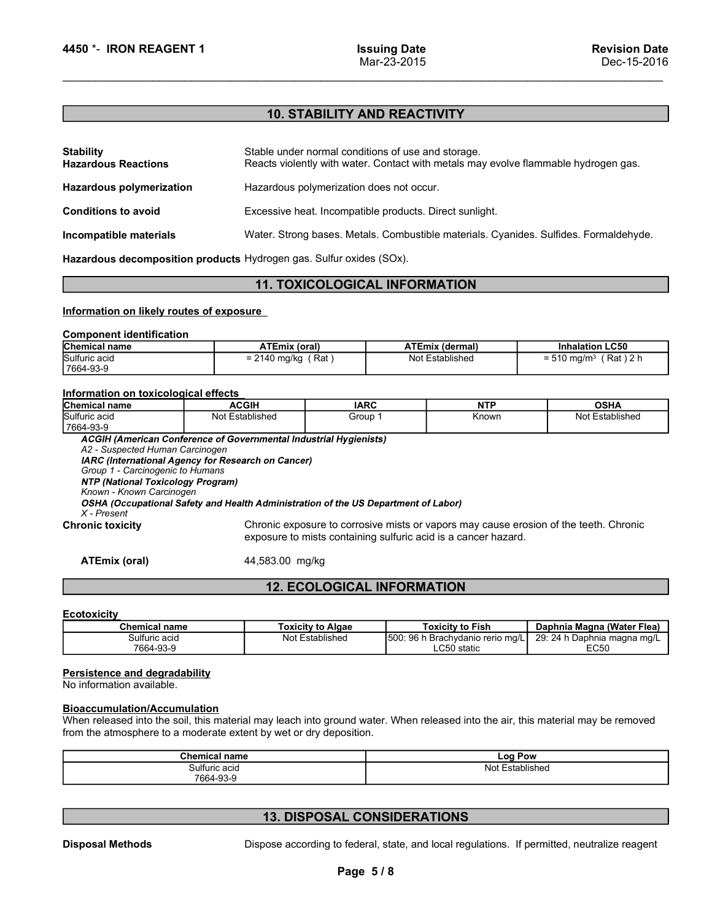# 4450 \*- IRON REAGENT 1 lssuing Date<br>Mar-23-2015<br>**10. STABILITY AND REACTIVITY** 10. STABILITY AND REACTIVITY

| 4450 *- IRON REAGENT 1<br><b>Stability</b><br><b>Hazardous Reactions</b><br><b>Hazardous polymerization</b> |                                                                     | <b>Issuing Date</b><br>Mar-23-2015                      |                        |                                                                                       |
|-------------------------------------------------------------------------------------------------------------|---------------------------------------------------------------------|---------------------------------------------------------|------------------------|---------------------------------------------------------------------------------------|
|                                                                                                             |                                                                     |                                                         |                        |                                                                                       |
|                                                                                                             |                                                                     |                                                         |                        |                                                                                       |
|                                                                                                             |                                                                     |                                                         |                        | <b>Revision Date</b>                                                                  |
|                                                                                                             |                                                                     |                                                         |                        | Dec-15-2016                                                                           |
|                                                                                                             |                                                                     |                                                         |                        |                                                                                       |
|                                                                                                             |                                                                     | <b>10. STABILITY AND REACTIVITY</b>                     |                        |                                                                                       |
|                                                                                                             |                                                                     |                                                         |                        |                                                                                       |
|                                                                                                             |                                                                     | Stable under normal conditions of use and storage.      |                        | Reacts violently with water. Contact with metals may evolve flammable hydrogen gas.   |
|                                                                                                             |                                                                     | Hazardous polymerization does not occur.                |                        |                                                                                       |
| <b>Conditions to avoid</b>                                                                                  |                                                                     | Excessive heat. Incompatible products. Direct sunlight. |                        |                                                                                       |
| Incompatible materials                                                                                      |                                                                     |                                                         |                        | Water. Strong bases. Metals. Combustible materials. Cyanides. Sulfides. Formaldehyde. |
|                                                                                                             | Hazardous decomposition products Hydrogen gas. Sulfur oxides (SOx). |                                                         |                        |                                                                                       |
|                                                                                                             |                                                                     | <b>11. TOXICOLOGICAL INFORMATION</b>                    |                        |                                                                                       |
|                                                                                                             | Information on likely routes of exposure                            |                                                         |                        |                                                                                       |
| <b>Component identification</b>                                                                             |                                                                     |                                                         |                        |                                                                                       |
| Chemical name                                                                                               | <b>ATEmix (oral)</b>                                                |                                                         | <b>ATEmix (dermal)</b> | <b>Inhalation LC50</b>                                                                |
| Sulfuric acid<br>7664-93-9                                                                                  | $= 2140$ mg/kg (Rat)                                                |                                                         | Not Established        | $= 510$ mg/m <sup>3</sup> (Rat) 2 h                                                   |
| Information on toxicological effects                                                                        |                                                                     |                                                         |                        |                                                                                       |
| Chemical name                                                                                               | <b>ACGIH</b>                                                        | <b>IARC</b>                                             | <b>NTP</b>             | <b>OSHA</b>                                                                           |
| Sulfuric acid<br>7664-93-9                                                                                  | Not Established                                                     | Group 1                                                 | Known                  | Not Established                                                                       |
|                                                                                                             | ACGIH (American Conference of Governmental Industrial Hygienists)   |                                                         |                        |                                                                                       |
| A2 - Suspected Human Carcinogen<br>Group 1 - Carcinogenic to Humans                                         | IARC (International Agency for Research on Cancer)                  |                                                         |                        |                                                                                       |
| <b>NTP (National Toxicology Program)</b>                                                                    |                                                                     |                                                         |                        |                                                                                       |

# 11. TOXICOLOGICAL INFORMATION

|               | <b>Chemical name</b> | ATEmix (oral)                    | <b>ATEmix (dermal)</b> | <b>Inhalation LC50</b>                            |
|---------------|----------------------|----------------------------------|------------------------|---------------------------------------------------|
| Sulfuric acid |                      | Rat<br>∖ mg/kg<br>-<br>2140<br>- | Not Established        | $'$ Rat ) 2 h<br>$510 \text{ mg/m}^3$<br>- '<br>- |
| 7664-93-9     |                      |                                  |                        |                                                   |

| Incompatible materials                                                                                                                                                       | Hazardous decomposition products Hydrogen gas. Sulfur oxides (SOx).                                                                                         |                          |                                                                                                                                                                                              | Water. Strong bases. Metals. Combustible materials. Cyanides. Sulfides. Formaldehyde. |
|------------------------------------------------------------------------------------------------------------------------------------------------------------------------------|-------------------------------------------------------------------------------------------------------------------------------------------------------------|--------------------------|----------------------------------------------------------------------------------------------------------------------------------------------------------------------------------------------|---------------------------------------------------------------------------------------|
|                                                                                                                                                                              |                                                                                                                                                             |                          | <b>11. TOXICOLOGICAL INFORMATION</b>                                                                                                                                                         |                                                                                       |
|                                                                                                                                                                              |                                                                                                                                                             |                          |                                                                                                                                                                                              |                                                                                       |
| Information on likely routes of exposure                                                                                                                                     |                                                                                                                                                             |                          |                                                                                                                                                                                              |                                                                                       |
| <b>Component identification</b>                                                                                                                                              |                                                                                                                                                             |                          |                                                                                                                                                                                              |                                                                                       |
| <b>Chemical name</b><br>Sulfuric acid                                                                                                                                        | <b>ATEmix (oral)</b><br>$= 2140$ mg/kg (Rat)                                                                                                                |                          | <b>ATEmix (dermal)</b><br>Not Established                                                                                                                                                    | <b>Inhalation LC50</b><br>$= 510$ mg/m <sup>3</sup> (Rat) 2 h                         |
| 7664-93-9                                                                                                                                                                    |                                                                                                                                                             |                          |                                                                                                                                                                                              |                                                                                       |
| Information on toxicological effects                                                                                                                                         |                                                                                                                                                             |                          |                                                                                                                                                                                              |                                                                                       |
| <b>Chemical name</b>                                                                                                                                                         | <b>ACGIH</b>                                                                                                                                                | <b>IARC</b>              | <b>NTP</b>                                                                                                                                                                                   | <b>OSHA</b>                                                                           |
| Sulfuric acid<br>7664-93-9                                                                                                                                                   | Not Established                                                                                                                                             | Group 1                  | Known                                                                                                                                                                                        | Not Established                                                                       |
| Group 1 - Carcinogenic to Humans<br><b>NTP (National Toxicology Program)</b><br>Known - Known Carcinogen<br>$X$ - Present<br><b>Chronic toxicity</b><br><b>ATEmix (oral)</b> | IARC (International Agency for Research on Cancer)<br>OSHA (Occupational Safety and Health Administration of the US Department of Labor)<br>44,583.00 mg/kg |                          | Chronic exposure to corrosive mists or vapors may cause erosion of the teeth. Chronic<br>exposure to mists containing sulfuric acid is a cancer hazard.<br><b>12. ECOLOGICAL INFORMATION</b> |                                                                                       |
| Ecotoxicity                                                                                                                                                                  |                                                                                                                                                             |                          |                                                                                                                                                                                              |                                                                                       |
| <b>Chemical name</b>                                                                                                                                                         |                                                                                                                                                             | <b>Toxicity to Algae</b> | <b>Toxicity to Fish</b>                                                                                                                                                                      | Daphnia Magna (Water Flea)                                                            |
| Sulfuric acid<br>7664-93-9                                                                                                                                                   |                                                                                                                                                             | Not Established          | 500: 96 h Brachydanio rerio mg/L<br>LC50 static                                                                                                                                              | 29: 24 h Daphnia magna mg/L<br><b>EC50</b>                                            |
| <b>Persistence and degradability</b><br>No information available.<br><b>Bioaccumulation/Accumulation</b>                                                                     | from the atmosphere to a moderate extent by wet or dry deposition.                                                                                          |                          | When released into the soil, this material may leach into ground water. When released into the air, this material may be removed                                                             |                                                                                       |
|                                                                                                                                                                              | <b>Chemical name</b>                                                                                                                                        |                          | <b>Log Pow</b>                                                                                                                                                                               |                                                                                       |
|                                                                                                                                                                              | Sulfuric acid<br>7664-93-9                                                                                                                                  |                          | Not Established                                                                                                                                                                              |                                                                                       |
|                                                                                                                                                                              |                                                                                                                                                             |                          |                                                                                                                                                                                              |                                                                                       |
|                                                                                                                                                                              |                                                                                                                                                             |                          |                                                                                                                                                                                              |                                                                                       |

# 12. ECOLOGICAL INFORMATION

# **Ecotoxicity**

|                                                                                                          |                                                                                                                                                                                                        | oxposare to mnote comtaming canario acid io a carloor nazara.                                |                             |
|----------------------------------------------------------------------------------------------------------|--------------------------------------------------------------------------------------------------------------------------------------------------------------------------------------------------------|----------------------------------------------------------------------------------------------|-----------------------------|
| <b>ATEmix (oral)</b>                                                                                     | 44,583.00 mg/kg                                                                                                                                                                                        |                                                                                              |                             |
|                                                                                                          | <b>12. ECOLOGICAL INFORMATION</b>                                                                                                                                                                      |                                                                                              |                             |
| <b>Ecotoxicity</b>                                                                                       |                                                                                                                                                                                                        |                                                                                              |                             |
| <b>Chemical name</b>                                                                                     | <b>Toxicity to Algae</b>                                                                                                                                                                               | <b>Toxicity to Fish</b>                                                                      | Daphnia Magna (Water Flea)  |
| Sulfuric acid                                                                                            | Not Established                                                                                                                                                                                        | 500: 96 h Brachydanio rerio mg/L                                                             | 29: 24 h Daphnia magna mg/L |
| 7664-93-9                                                                                                |                                                                                                                                                                                                        | LC50 static                                                                                  | <b>EC50</b>                 |
| <b>Persistence and degradability</b><br>No information available.<br><b>Bioaccumulation/Accumulation</b> | When released into the soil, this material may leach into ground water. When released into the air, this material may be removed<br>from the atmosphere to a moderate extent by wet or dry deposition. |                                                                                              |                             |
|                                                                                                          | <b>Chemical name</b>                                                                                                                                                                                   | Log Pow                                                                                      |                             |
|                                                                                                          | Sulfuric acid<br>7664-93-9                                                                                                                                                                             | Not Established                                                                              |                             |
|                                                                                                          | <b>13. DISPOSAL CONSIDERATIONS</b>                                                                                                                                                                     |                                                                                              |                             |
| <b>Disposal Methods</b>                                                                                  | Page 5/8                                                                                                                                                                                               | Dispose according to federal, state, and local regulations. If permitted, neutralize reagent |                             |
|                                                                                                          |                                                                                                                                                                                                        |                                                                                              |                             |

# Bioaccumulation/Accumulation

| м.<br>l name<br>וווטווט        | ∟oa <sup>r</sup><br>Pow |  |
|--------------------------------|-------------------------|--|
| Sulfuric acid<br>------------- | ا ما ،<br>ablishec<br>. |  |
| 7664-93-5                      |                         |  |

# 13. DISPOSAL CONSIDERATIONS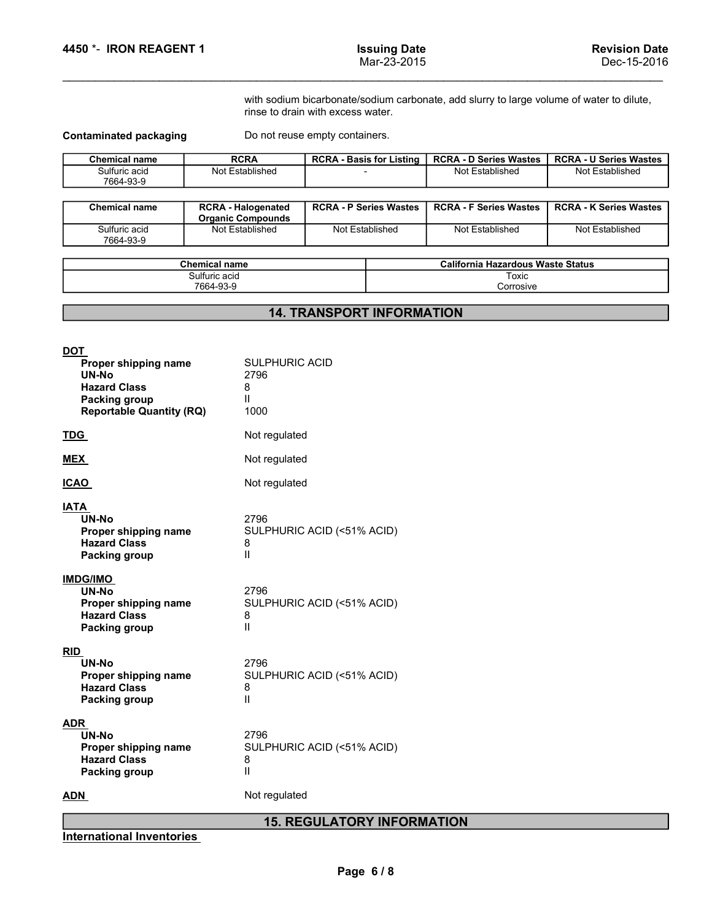4450 \*- IRON REAGENT 1<br>
Mar-23-2015<br>
With sodium bicarbonate/sodium carbonate, add slurry to large volume of water to dilute,<br>
rinse to drain with excess water.

| 4450 *- IRON REAGENT 1        |                                                       |                                   | <b>Issuing Date</b><br>Mar-23-2015 |                                                                                          | <b>Revision Date</b><br>Dec-15-2016 |
|-------------------------------|-------------------------------------------------------|-----------------------------------|------------------------------------|------------------------------------------------------------------------------------------|-------------------------------------|
|                               |                                                       | rinse to drain with excess water. |                                    | with sodium bicarbonate/sodium carbonate, add slurry to large volume of water to dilute, |                                     |
| <b>Contaminated packaging</b> |                                                       | Do not reuse empty containers.    |                                    |                                                                                          |                                     |
| <b>Chemical name</b>          | <b>RCRA</b>                                           |                                   | <b>RCRA - Basis for Listing</b>    | <b>RCRA - D Series Wastes</b>                                                            | <b>RCRA - U Series Wastes</b>       |
| Sulfuric acid<br>7664-93-9    | Not Established                                       | $\sim$                            |                                    | Not Established                                                                          | Not Established                     |
| <b>Chemical name</b>          | <b>RCRA - Halogenated</b><br><b>Organic Compounds</b> | <b>RCRA - P Series Wastes</b>     |                                    | <b>RCRA - F Series Wastes</b>                                                            | <b>RCRA - K Series Wastes</b>       |
| Sulfuric acid<br>7664-93-9    | Not Established                                       | Not Established                   |                                    | Not Established                                                                          | Not Established                     |
|                               |                                                       |                                   |                                    |                                                                                          |                                     |
|                               | <b>Chemical name</b><br>Sulfuric acid                 |                                   |                                    | <b>California Hazardous Waste Status</b><br>Toxic                                        |                                     |
|                               | 7664-93-9                                             |                                   |                                    | Corrosive                                                                                |                                     |
|                               |                                                       | <b>14. TRANSPORT INFORMATION</b>  |                                    |                                                                                          |                                     |
|                               |                                                       |                                   |                                    |                                                                                          |                                     |

| <b>Chemical name</b>       | <b>RCRA - Halogenated</b><br><b>Organic Compounds</b> | <b>RCRA - P Series Wastes</b> | <b>RCRA - F Series Wastes</b> | <b>RCRA - K Series Wastes</b> |
|----------------------------|-------------------------------------------------------|-------------------------------|-------------------------------|-------------------------------|
| Sulfuric acid<br>7664-93-9 | Not Established                                       | Not Established               | Not Established               | Not Established               |

| <b>Chemical name</b> | <br>เ Hazardous Waste Status<br>California |
|----------------------|--------------------------------------------|
| Sulfuric acid        | Toxic                                      |
| 7664-93-9            | Corrosive                                  |

# 14. TRANSPORT INFORMATION

| with sodium bicarbonate/sodium carbonate, add slurry to large volume of water to dilute,<br>rinse to drain with excess water.<br>Do not reuse empty containers.<br><b>RCRA</b><br><b>Chemical name</b><br><b>RCRA - Basis for Listing</b><br><b>RCRA - D Series Wastes</b><br><b>RCRA - U Series Wastes</b><br>Sulfuric acid<br>Not Established<br>Not Established<br>Not Established<br>$\overline{\phantom{a}}$<br>7664-93-9<br><b>Chemical name</b><br><b>RCRA - Halogenated</b><br><b>RCRA - P Series Wastes</b><br><b>RCRA - F Series Wastes</b><br><b>RCRA - K Series Wastes</b><br><b>Organic Compounds</b><br>Not Established<br>Not Established<br>Sulfuric acid<br>Not Established<br>Not Established<br>7664-93-9<br><b>California Hazardous Waste Status</b><br><b>Chemical name</b><br>Sulfuric acid<br>Toxic<br>7664-93-9<br>Corrosive<br><b>14. TRANSPORT INFORMATION</b><br><b>SULPHURIC ACID</b><br>Proper shipping name<br><b>UN-No</b><br>2796<br><b>Hazard Class</b><br>8<br>Ш<br><b>Packing group</b><br>1000<br><b>Reportable Quantity (RQ)</b><br>Not regulated<br>Not regulated<br>Not regulated<br>UN-No<br>2796<br>Proper shipping name<br>SULPHURIC ACID (<51% ACID)<br><b>Hazard Class</b><br>8<br>П<br>Packing group<br>2796<br>UN-No<br>SULPHURIC ACID (<51% ACID)<br>Proper shipping name<br><b>Hazard Class</b><br>8<br>Ш<br><b>Packing group</b><br>2796<br>UN-No<br>Proper shipping name<br>SULPHURIC ACID (<51% ACID)<br><b>Hazard Class</b><br>8<br>$\mathbf{I}$<br>Packing group<br>UN-No<br>2796<br>SULPHURIC ACID (<51% ACID)<br>Proper shipping name<br><b>Hazard Class</b><br>8<br>Ш<br><b>Packing group</b><br>Not regulated<br><b>15. REGULATORY INFORMATION</b><br>Page 6/8 |                               |  |  |
|-------------------------------------------------------------------------------------------------------------------------------------------------------------------------------------------------------------------------------------------------------------------------------------------------------------------------------------------------------------------------------------------------------------------------------------------------------------------------------------------------------------------------------------------------------------------------------------------------------------------------------------------------------------------------------------------------------------------------------------------------------------------------------------------------------------------------------------------------------------------------------------------------------------------------------------------------------------------------------------------------------------------------------------------------------------------------------------------------------------------------------------------------------------------------------------------------------------------------------------------------------------------------------------------------------------------------------------------------------------------------------------------------------------------------------------------------------------------------------------------------------------------------------------------------------------------------------------------------------------------------------------------------------------------------------------------------------------------------|-------------------------------|--|--|
|                                                                                                                                                                                                                                                                                                                                                                                                                                                                                                                                                                                                                                                                                                                                                                                                                                                                                                                                                                                                                                                                                                                                                                                                                                                                                                                                                                                                                                                                                                                                                                                                                                                                                                                         |                               |  |  |
|                                                                                                                                                                                                                                                                                                                                                                                                                                                                                                                                                                                                                                                                                                                                                                                                                                                                                                                                                                                                                                                                                                                                                                                                                                                                                                                                                                                                                                                                                                                                                                                                                                                                                                                         | <b>Contaminated packaging</b> |  |  |
|                                                                                                                                                                                                                                                                                                                                                                                                                                                                                                                                                                                                                                                                                                                                                                                                                                                                                                                                                                                                                                                                                                                                                                                                                                                                                                                                                                                                                                                                                                                                                                                                                                                                                                                         |                               |  |  |
|                                                                                                                                                                                                                                                                                                                                                                                                                                                                                                                                                                                                                                                                                                                                                                                                                                                                                                                                                                                                                                                                                                                                                                                                                                                                                                                                                                                                                                                                                                                                                                                                                                                                                                                         |                               |  |  |
|                                                                                                                                                                                                                                                                                                                                                                                                                                                                                                                                                                                                                                                                                                                                                                                                                                                                                                                                                                                                                                                                                                                                                                                                                                                                                                                                                                                                                                                                                                                                                                                                                                                                                                                         |                               |  |  |
|                                                                                                                                                                                                                                                                                                                                                                                                                                                                                                                                                                                                                                                                                                                                                                                                                                                                                                                                                                                                                                                                                                                                                                                                                                                                                                                                                                                                                                                                                                                                                                                                                                                                                                                         |                               |  |  |
| <b>DOT</b><br><b>TDG</b><br><b>MEX</b><br><b>ICAO</b><br><b>IATA</b><br><b>IMDG/IMO</b><br>RID<br><b>ADR</b><br><b>ADN</b>                                                                                                                                                                                                                                                                                                                                                                                                                                                                                                                                                                                                                                                                                                                                                                                                                                                                                                                                                                                                                                                                                                                                                                                                                                                                                                                                                                                                                                                                                                                                                                                              |                               |  |  |
|                                                                                                                                                                                                                                                                                                                                                                                                                                                                                                                                                                                                                                                                                                                                                                                                                                                                                                                                                                                                                                                                                                                                                                                                                                                                                                                                                                                                                                                                                                                                                                                                                                                                                                                         |                               |  |  |
|                                                                                                                                                                                                                                                                                                                                                                                                                                                                                                                                                                                                                                                                                                                                                                                                                                                                                                                                                                                                                                                                                                                                                                                                                                                                                                                                                                                                                                                                                                                                                                                                                                                                                                                         |                               |  |  |
|                                                                                                                                                                                                                                                                                                                                                                                                                                                                                                                                                                                                                                                                                                                                                                                                                                                                                                                                                                                                                                                                                                                                                                                                                                                                                                                                                                                                                                                                                                                                                                                                                                                                                                                         |                               |  |  |
|                                                                                                                                                                                                                                                                                                                                                                                                                                                                                                                                                                                                                                                                                                                                                                                                                                                                                                                                                                                                                                                                                                                                                                                                                                                                                                                                                                                                                                                                                                                                                                                                                                                                                                                         |                               |  |  |
|                                                                                                                                                                                                                                                                                                                                                                                                                                                                                                                                                                                                                                                                                                                                                                                                                                                                                                                                                                                                                                                                                                                                                                                                                                                                                                                                                                                                                                                                                                                                                                                                                                                                                                                         |                               |  |  |
|                                                                                                                                                                                                                                                                                                                                                                                                                                                                                                                                                                                                                                                                                                                                                                                                                                                                                                                                                                                                                                                                                                                                                                                                                                                                                                                                                                                                                                                                                                                                                                                                                                                                                                                         |                               |  |  |
|                                                                                                                                                                                                                                                                                                                                                                                                                                                                                                                                                                                                                                                                                                                                                                                                                                                                                                                                                                                                                                                                                                                                                                                                                                                                                                                                                                                                                                                                                                                                                                                                                                                                                                                         |                               |  |  |
|                                                                                                                                                                                                                                                                                                                                                                                                                                                                                                                                                                                                                                                                                                                                                                                                                                                                                                                                                                                                                                                                                                                                                                                                                                                                                                                                                                                                                                                                                                                                                                                                                                                                                                                         |                               |  |  |
|                                                                                                                                                                                                                                                                                                                                                                                                                                                                                                                                                                                                                                                                                                                                                                                                                                                                                                                                                                                                                                                                                                                                                                                                                                                                                                                                                                                                                                                                                                                                                                                                                                                                                                                         |                               |  |  |
|                                                                                                                                                                                                                                                                                                                                                                                                                                                                                                                                                                                                                                                                                                                                                                                                                                                                                                                                                                                                                                                                                                                                                                                                                                                                                                                                                                                                                                                                                                                                                                                                                                                                                                                         |                               |  |  |
|                                                                                                                                                                                                                                                                                                                                                                                                                                                                                                                                                                                                                                                                                                                                                                                                                                                                                                                                                                                                                                                                                                                                                                                                                                                                                                                                                                                                                                                                                                                                                                                                                                                                                                                         |                               |  |  |
| <b>International Inventories</b>                                                                                                                                                                                                                                                                                                                                                                                                                                                                                                                                                                                                                                                                                                                                                                                                                                                                                                                                                                                                                                                                                                                                                                                                                                                                                                                                                                                                                                                                                                                                                                                                                                                                                        |                               |  |  |
|                                                                                                                                                                                                                                                                                                                                                                                                                                                                                                                                                                                                                                                                                                                                                                                                                                                                                                                                                                                                                                                                                                                                                                                                                                                                                                                                                                                                                                                                                                                                                                                                                                                                                                                         |                               |  |  |
|                                                                                                                                                                                                                                                                                                                                                                                                                                                                                                                                                                                                                                                                                                                                                                                                                                                                                                                                                                                                                                                                                                                                                                                                                                                                                                                                                                                                                                                                                                                                                                                                                                                                                                                         |                               |  |  |
|                                                                                                                                                                                                                                                                                                                                                                                                                                                                                                                                                                                                                                                                                                                                                                                                                                                                                                                                                                                                                                                                                                                                                                                                                                                                                                                                                                                                                                                                                                                                                                                                                                                                                                                         |                               |  |  |
|                                                                                                                                                                                                                                                                                                                                                                                                                                                                                                                                                                                                                                                                                                                                                                                                                                                                                                                                                                                                                                                                                                                                                                                                                                                                                                                                                                                                                                                                                                                                                                                                                                                                                                                         |                               |  |  |
|                                                                                                                                                                                                                                                                                                                                                                                                                                                                                                                                                                                                                                                                                                                                                                                                                                                                                                                                                                                                                                                                                                                                                                                                                                                                                                                                                                                                                                                                                                                                                                                                                                                                                                                         |                               |  |  |

# 15. REGULATORY INFORMATION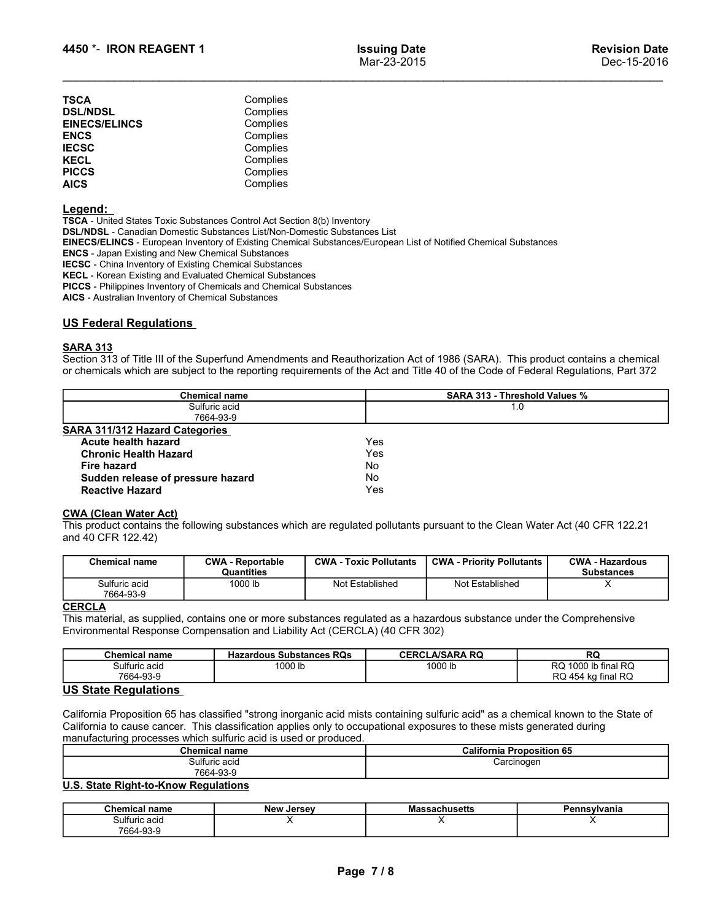| 4450 *- IRON REAGENT 1                                                                                                                                                                                                                                                                                                                                                                                                                  | <b>Issuing Date</b><br>Mar-23-2015                                                                                                                                                                                                                                 | <b>Revision Date</b><br>Dec-15-2016 |
|-----------------------------------------------------------------------------------------------------------------------------------------------------------------------------------------------------------------------------------------------------------------------------------------------------------------------------------------------------------------------------------------------------------------------------------------|--------------------------------------------------------------------------------------------------------------------------------------------------------------------------------------------------------------------------------------------------------------------|-------------------------------------|
|                                                                                                                                                                                                                                                                                                                                                                                                                                         |                                                                                                                                                                                                                                                                    |                                     |
| TSCA                                                                                                                                                                                                                                                                                                                                                                                                                                    | Complies                                                                                                                                                                                                                                                           |                                     |
| <b>DSL/NDSL</b>                                                                                                                                                                                                                                                                                                                                                                                                                         | Complies                                                                                                                                                                                                                                                           |                                     |
| <b>EINECS/ELINCS</b>                                                                                                                                                                                                                                                                                                                                                                                                                    | Complies                                                                                                                                                                                                                                                           |                                     |
| <b>ENCS</b>                                                                                                                                                                                                                                                                                                                                                                                                                             | Complies                                                                                                                                                                                                                                                           |                                     |
| <b>IECSC</b>                                                                                                                                                                                                                                                                                                                                                                                                                            | Complies                                                                                                                                                                                                                                                           |                                     |
| KECL                                                                                                                                                                                                                                                                                                                                                                                                                                    | Complies                                                                                                                                                                                                                                                           |                                     |
| <b>PICCS</b>                                                                                                                                                                                                                                                                                                                                                                                                                            | Complies                                                                                                                                                                                                                                                           |                                     |
| <b>AICS</b>                                                                                                                                                                                                                                                                                                                                                                                                                             | Complies                                                                                                                                                                                                                                                           |                                     |
| <u>Legend:</u>                                                                                                                                                                                                                                                                                                                                                                                                                          |                                                                                                                                                                                                                                                                    |                                     |
|                                                                                                                                                                                                                                                                                                                                                                                                                                         | TSCA - United States Toxic Substances Control Act Section 8(b) Inventory                                                                                                                                                                                           |                                     |
|                                                                                                                                                                                                                                                                                                                                                                                                                                         |                                                                                                                                                                                                                                                                    |                                     |
|                                                                                                                                                                                                                                                                                                                                                                                                                                         |                                                                                                                                                                                                                                                                    |                                     |
|                                                                                                                                                                                                                                                                                                                                                                                                                                         | EINECS/ELINCS - European Inventory of Existing Chemical Substances/European List of Notified Chemical Substances                                                                                                                                                   |                                     |
|                                                                                                                                                                                                                                                                                                                                                                                                                                         |                                                                                                                                                                                                                                                                    |                                     |
|                                                                                                                                                                                                                                                                                                                                                                                                                                         |                                                                                                                                                                                                                                                                    |                                     |
|                                                                                                                                                                                                                                                                                                                                                                                                                                         |                                                                                                                                                                                                                                                                    |                                     |
|                                                                                                                                                                                                                                                                                                                                                                                                                                         |                                                                                                                                                                                                                                                                    |                                     |
| DSL/NDSL - Canadian Domestic Substances List/Non-Domestic Substances List<br><b>ENCS</b> - Japan Existing and New Chemical Substances<br><b>IECSC</b> - China Inventory of Existing Chemical Substances<br>KECL - Korean Existing and Evaluated Chemical Substances<br><b>PICCS</b> - Philippines Inventory of Chemicals and Chemical Substances<br>AICS - Australian Inventory of Chemical Substances<br><u>US Federal Regulations</u> |                                                                                                                                                                                                                                                                    |                                     |
|                                                                                                                                                                                                                                                                                                                                                                                                                                         |                                                                                                                                                                                                                                                                    |                                     |
| <u>SARA 313</u>                                                                                                                                                                                                                                                                                                                                                                                                                         | Section 313 of Title III of the Superfund Amendments and Reauthorization Act of 1986 (SARA). This product contains a chemical<br>or chemicals which are subject to the reporting requirements of the Act and Title 40 of the Code of Federal Regulations, Part 372 |                                     |

# Legend:

|                                                                                                                                                                                      |                                                                                                                                                                                                                                                                                                                                                                                                                                                                                                                                                                                                                |                               | Mar-23-2015 |                                      | Dec-15-2016                                 |
|--------------------------------------------------------------------------------------------------------------------------------------------------------------------------------------|----------------------------------------------------------------------------------------------------------------------------------------------------------------------------------------------------------------------------------------------------------------------------------------------------------------------------------------------------------------------------------------------------------------------------------------------------------------------------------------------------------------------------------------------------------------------------------------------------------------|-------------------------------|-------------|--------------------------------------|---------------------------------------------|
| <b>TSCA</b>                                                                                                                                                                          | Complies                                                                                                                                                                                                                                                                                                                                                                                                                                                                                                                                                                                                       |                               |             |                                      |                                             |
| <b>DSL/NDSL</b>                                                                                                                                                                      | Complies                                                                                                                                                                                                                                                                                                                                                                                                                                                                                                                                                                                                       |                               |             |                                      |                                             |
| <b>EINECS/ELINCS</b>                                                                                                                                                                 | Complies                                                                                                                                                                                                                                                                                                                                                                                                                                                                                                                                                                                                       |                               |             |                                      |                                             |
| <b>ENCS</b>                                                                                                                                                                          | Complies                                                                                                                                                                                                                                                                                                                                                                                                                                                                                                                                                                                                       |                               |             |                                      |                                             |
| <b>IECSC</b>                                                                                                                                                                         | Complies                                                                                                                                                                                                                                                                                                                                                                                                                                                                                                                                                                                                       |                               |             |                                      |                                             |
| <b>KECL</b>                                                                                                                                                                          | Complies                                                                                                                                                                                                                                                                                                                                                                                                                                                                                                                                                                                                       |                               |             |                                      |                                             |
| <b>PICCS</b>                                                                                                                                                                         | Complies                                                                                                                                                                                                                                                                                                                                                                                                                                                                                                                                                                                                       |                               |             |                                      |                                             |
| <b>AICS</b>                                                                                                                                                                          | Complies                                                                                                                                                                                                                                                                                                                                                                                                                                                                                                                                                                                                       |                               |             |                                      |                                             |
| <u>Legend:</u><br><b>ENCS</b> - Japan Existing and New Chemical Substances<br>AICS - Australian Inventory of Chemical Substances<br><b>US Federal Regulations</b><br><b>SARA 313</b> | TSCA - United States Toxic Substances Control Act Section 8(b) Inventory<br>DSL/NDSL - Canadian Domestic Substances List/Non-Domestic Substances List<br>EINECS/ELINCS - European Inventory of Existing Chemical Substances/European List of Notified Chemical Substances<br><b>IECSC</b> - China Inventory of Existing Chemical Substances<br>KECL - Korean Existing and Evaluated Chemical Substances<br>PICCS - Philippines Inventory of Chemicals and Chemical Substances<br>Section 313 of Title III of the Superfund Amendments and Reauthorization Act of 1986 (SARA). This product contains a chemical |                               |             |                                      |                                             |
|                                                                                                                                                                                      | or chemicals which are subject to the reporting requirements of the Act and Title 40 of the Code of Federal Regulations, Part 372                                                                                                                                                                                                                                                                                                                                                                                                                                                                              |                               |             |                                      |                                             |
|                                                                                                                                                                                      | <b>Chemical name</b>                                                                                                                                                                                                                                                                                                                                                                                                                                                                                                                                                                                           |                               |             | <b>SARA 313 - Threshold Values %</b> |                                             |
|                                                                                                                                                                                      | Sulfuric acid<br>7664-93-9                                                                                                                                                                                                                                                                                                                                                                                                                                                                                                                                                                                     |                               |             | 1.0                                  |                                             |
|                                                                                                                                                                                      |                                                                                                                                                                                                                                                                                                                                                                                                                                                                                                                                                                                                                |                               |             |                                      |                                             |
| <b>SARA 311/312 Hazard Categories</b><br>Acute health hazard                                                                                                                         |                                                                                                                                                                                                                                                                                                                                                                                                                                                                                                                                                                                                                |                               |             |                                      |                                             |
|                                                                                                                                                                                      |                                                                                                                                                                                                                                                                                                                                                                                                                                                                                                                                                                                                                | Yes                           |             |                                      |                                             |
| <b>Chronic Health Hazard</b>                                                                                                                                                         |                                                                                                                                                                                                                                                                                                                                                                                                                                                                                                                                                                                                                | Yes                           |             |                                      |                                             |
| <b>Fire hazard</b>                                                                                                                                                                   |                                                                                                                                                                                                                                                                                                                                                                                                                                                                                                                                                                                                                | No                            |             |                                      |                                             |
| Sudden release of pressure hazard                                                                                                                                                    |                                                                                                                                                                                                                                                                                                                                                                                                                                                                                                                                                                                                                | No                            |             |                                      |                                             |
| <b>Reactive Hazard</b>                                                                                                                                                               |                                                                                                                                                                                                                                                                                                                                                                                                                                                                                                                                                                                                                | Yes                           |             |                                      |                                             |
| <b>CWA (Clean Water Act)</b><br>and 40 CFR 122.42)                                                                                                                                   | This product contains the following substances which are regulated pollutants pursuant to the Clean Water Act (40 CFR 122.21                                                                                                                                                                                                                                                                                                                                                                                                                                                                                   |                               |             |                                      |                                             |
| <b>Chemical name</b>                                                                                                                                                                 | <b>CWA - Reportable</b><br>Quantities                                                                                                                                                                                                                                                                                                                                                                                                                                                                                                                                                                          | <b>CWA - Toxic Pollutants</b> |             | <b>CWA - Priority Pollutants</b>     | <b>CWA - Hazardous</b><br><b>Substances</b> |
| Sulfuric acid<br>7664-93-9                                                                                                                                                           | 1000 lb                                                                                                                                                                                                                                                                                                                                                                                                                                                                                                                                                                                                        | Not Established               |             | Not Established                      | $\times$                                    |
| <b>CERCLA</b>                                                                                                                                                                        | This material, as supplied, contains one or more substances regulated as a hazardous substance under the Comprehensive<br>Environmental Response Compensation and Liability Act (CERCLA) (40 CFR 302)                                                                                                                                                                                                                                                                                                                                                                                                          |                               |             |                                      |                                             |
| <b>Chemical name</b>                                                                                                                                                                 | <b>Hazardous Substances RQs</b>                                                                                                                                                                                                                                                                                                                                                                                                                                                                                                                                                                                |                               |             | <b>CERCLA/SARA RQ</b>                | <b>RQ</b>                                   |
| Sulfuric acid<br>7664-93-9                                                                                                                                                           | 1000 lb                                                                                                                                                                                                                                                                                                                                                                                                                                                                                                                                                                                                        |                               |             | 1000 lb                              | RQ 1000 lb final RQ<br>RQ 454 kg final RQ   |
| <b>US State Regulations</b>                                                                                                                                                          |                                                                                                                                                                                                                                                                                                                                                                                                                                                                                                                                                                                                                |                               |             |                                      |                                             |
|                                                                                                                                                                                      | California Proposition 65 has classified "strong inorganic acid mists containing sulfuric acid" as a chemical known to the State of<br>California to cause cancer. This classification applies only to occupational exposures to these mists generated during<br>manufacturing processes which sulfuric acid is used or produced.<br><b>Chemical name</b>                                                                                                                                                                                                                                                      |                               |             | <b>California Proposition 65</b>     |                                             |
|                                                                                                                                                                                      | Sulfuric acid<br>7664-93-9                                                                                                                                                                                                                                                                                                                                                                                                                                                                                                                                                                                     |                               |             | Carcinogen                           |                                             |
| U.S. State Right-to-Know Regulations                                                                                                                                                 |                                                                                                                                                                                                                                                                                                                                                                                                                                                                                                                                                                                                                |                               |             |                                      |                                             |
| <b>Chemical name</b>                                                                                                                                                                 | <b>New Jersey</b>                                                                                                                                                                                                                                                                                                                                                                                                                                                                                                                                                                                              |                               |             | <b>Massachusetts</b>                 | Pennsylvania                                |
| Sulfuric acid                                                                                                                                                                        | X                                                                                                                                                                                                                                                                                                                                                                                                                                                                                                                                                                                                              |                               |             | X                                    | $\times$                                    |

| <b>CWA (Clean Water Act)</b><br>This product contains the following substances which are regulated pollutants pursuant to the Clean Water Act (40 CFR 122.21<br>and 40 CFR 122.42)                                                                                                                                                |                                       |                               |                                  |                                           |                                             |
|-----------------------------------------------------------------------------------------------------------------------------------------------------------------------------------------------------------------------------------------------------------------------------------------------------------------------------------|---------------------------------------|-------------------------------|----------------------------------|-------------------------------------------|---------------------------------------------|
| <b>Chemical name</b>                                                                                                                                                                                                                                                                                                              | <b>CWA - Reportable</b><br>Quantities | <b>CWA - Toxic Pollutants</b> | <b>CWA - Priority Pollutants</b> |                                           | <b>CWA - Hazardous</b><br><b>Substances</b> |
| Sulfuric acid<br>7664-93-9                                                                                                                                                                                                                                                                                                        | 1000 lb                               | Not Established               | Not Established                  |                                           | x                                           |
| This material, as supplied, contains one or more substances regulated as a hazardous substance under the Comprehensive<br>Environmental Response Compensation and Liability Act (CERCLA) (40 CFR 302)                                                                                                                             |                                       |                               |                                  |                                           |                                             |
| <b>Chemical name</b>                                                                                                                                                                                                                                                                                                              | <b>Hazardous Substances RQs</b>       |                               | <b>CERCLA/SARA RQ</b>            | <b>RQ</b>                                 |                                             |
|                                                                                                                                                                                                                                                                                                                                   |                                       |                               |                                  |                                           |                                             |
| Sulfuric acid<br>7664-93-9<br><b>US State Regulations</b>                                                                                                                                                                                                                                                                         | 1000 lb                               |                               | 1000 lb                          | RQ 1000 lb final RQ<br>RQ 454 kg final RQ |                                             |
| California Proposition 65 has classified "strong inorganic acid mists containing sulfuric acid" as a chemical known to the State of<br>California to cause cancer. This classification applies only to occupational exposures to these mists generated during<br>manufacturing processes which sulfuric acid is used or produced. |                                       |                               |                                  |                                           |                                             |
|                                                                                                                                                                                                                                                                                                                                   | <b>Chemical name</b>                  |                               | <b>California Proposition 65</b> |                                           |                                             |
|                                                                                                                                                                                                                                                                                                                                   | Sulfuric acid                         |                               | Carcinogen                       |                                           |                                             |
| U.S. State Right-to-Know Regulations                                                                                                                                                                                                                                                                                              | 7664-93-9                             |                               |                                  |                                           |                                             |
| <b>Chemical name</b>                                                                                                                                                                                                                                                                                                              | <b>New Jersey</b>                     |                               | <b>Massachusetts</b>             | Pennsylvania                              |                                             |

| Not Established<br>Sulfuric acid<br>1000 lb<br>Not Established<br>x<br>7664-93-9<br><b>CERCLA/SARA RQ</b><br><b>RQ</b><br><b>Chemical name</b><br><b>Hazardous Substances RQs</b><br>RQ 1000 lb final RQ<br>Sulfuric acid<br>1000 lb<br>1000 lb<br>7664-93-9<br>RQ 454 kg final RQ<br><b>California Proposition 65</b><br><b>Chemical name</b><br>Sulfuric acid<br>Carcinogen<br>7664-93-9<br><b>Chemical name</b><br><b>Massachusetts</b><br><b>New Jersey</b><br>Pennsylvania<br>X<br>X<br>Sulfuric acid<br>X<br>7664-93-9 |
|------------------------------------------------------------------------------------------------------------------------------------------------------------------------------------------------------------------------------------------------------------------------------------------------------------------------------------------------------------------------------------------------------------------------------------------------------------------------------------------------------------------------------|
| <b>CERCLA</b><br>This material, as supplied, contains one or more substances regulated as a hazardous substance under the Comprehensive<br>Environmental Response Compensation and Liability Act (CERCLA) (40 CFR 302)                                                                                                                                                                                                                                                                                                       |
|                                                                                                                                                                                                                                                                                                                                                                                                                                                                                                                              |
|                                                                                                                                                                                                                                                                                                                                                                                                                                                                                                                              |
|                                                                                                                                                                                                                                                                                                                                                                                                                                                                                                                              |
| <b>US State Regulations</b><br>California Proposition 65 has classified "strong inorganic acid mists containing sulfuric acid" as a chemical known to the State of<br>California to cause cancer. This classification applies only to occupational exposures to these mists generated during<br>manufacturing processes which sulfuric acid is used or produced.<br>U.S. State Right-to-Know Regulations                                                                                                                     |
|                                                                                                                                                                                                                                                                                                                                                                                                                                                                                                                              |
|                                                                                                                                                                                                                                                                                                                                                                                                                                                                                                                              |
|                                                                                                                                                                                                                                                                                                                                                                                                                                                                                                                              |
|                                                                                                                                                                                                                                                                                                                                                                                                                                                                                                                              |
|                                                                                                                                                                                                                                                                                                                                                                                                                                                                                                                              |
|                                                                                                                                                                                                                                                                                                                                                                                                                                                                                                                              |
|                                                                                                                                                                                                                                                                                                                                                                                                                                                                                                                              |
|                                                                                                                                                                                                                                                                                                                                                                                                                                                                                                                              |
|                                                                                                                                                                                                                                                                                                                                                                                                                                                                                                                              |
|                                                                                                                                                                                                                                                                                                                                                                                                                                                                                                                              |
|                                                                                                                                                                                                                                                                                                                                                                                                                                                                                                                              |
|                                                                                                                                                                                                                                                                                                                                                                                                                                                                                                                              |
| Page 7/8                                                                                                                                                                                                                                                                                                                                                                                                                                                                                                                     |
|                                                                                                                                                                                                                                                                                                                                                                                                                                                                                                                              |
|                                                                                                                                                                                                                                                                                                                                                                                                                                                                                                                              |
|                                                                                                                                                                                                                                                                                                                                                                                                                                                                                                                              |

| <b>Chemical name</b> | . er<br><br>.<br>roposition 65<br>. .<br>California |
|----------------------|-----------------------------------------------------|
| Sulfuric acid        | :arcinoaen                                          |
| 7664-93-5            |                                                     |

| Chemical<br>name | <b>New</b><br>Jersev | aachusetts۔۔۔۔<br>IVICI | Pennsvlvania |
|------------------|----------------------|-------------------------|--------------|
| Sulfuric acid    | $\cdot$ $\cdot$      |                         |              |
| 7664-93-9        |                      |                         |              |